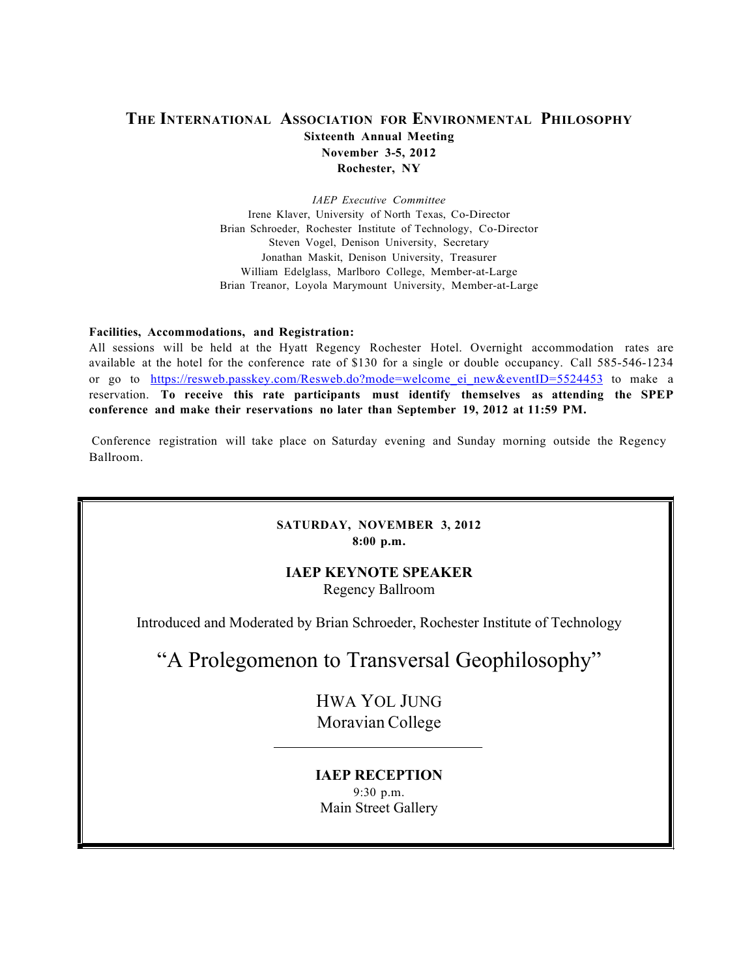# **THE INTERNATIONAL ASSOCIATION FOR ENVIRONMENTAL PHILOSOPHY Sixteenth Annual Meeting November 3-5, 2012 Rochester, NY**

*IAEP Executive Committee* Irene Klaver, University of North Texas, Co-Director Brian Schroeder, Rochester Institute of Technology, Co-Director Steven Vogel, Denison University, Secretary Jonathan Maskit, Denison University, Treasurer William Edelglass, Marlboro College, Member-at-Large Brian Treanor, Loyola Marymount University, Member-at-Large

#### **Facilities, Accommodations, and Registration:**

All sessions will be held at the Hyatt Regency Rochester Hotel. Overnight accommodation rates are available at the hotel for the conference rate of \$130 for a single or double occupancy. Call 585-546-1234 or go to https://resweb.passkey.com/Resweb.do?mode=welcome\_ei\_new&eventID=5524453 to make a reservation. **To receive this rate participants must identify themselves as attending the SPEP conference and make their reservations no later than September 19, 2012 at 11:59 PM.**

Conference registration will take place on Saturday evening and Sunday morning outside the Regency Ballroom.

### **SATURDAY, NOVEMBER 3, 2012 8:00 p.m.**

# **IAEP KEYNOTE SPEAKER**

Regency Ballroom

Introduced and Moderated by Brian Schroeder, Rochester Institute of Technology

"A Prolegomenon to Transversal Geophilosophy"

HWA YOL JUNG Moravian College

# **IAEP RECEPTION**

9:30 p.m. Main Street Gallery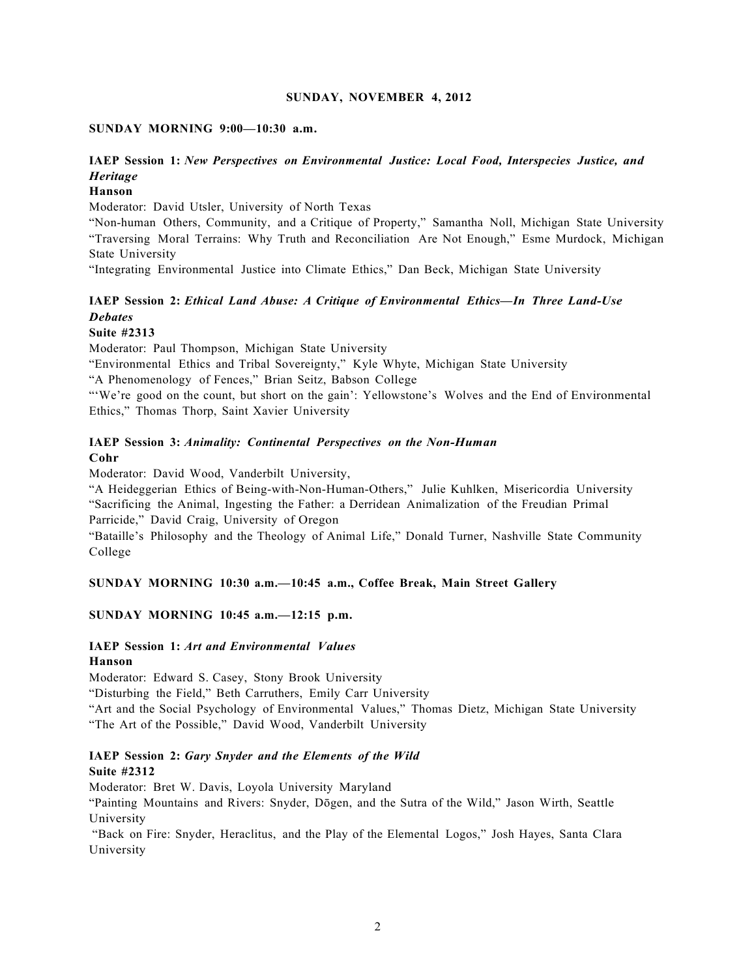#### **SUNDAY, NOVEMBER 4, 2012**

#### **SUNDAY MORNING 9:00—10:30 a.m.**

# **IAEP Session 1:** *New Perspectives on Environmental Justice: Local Food, Interspecies Justice, and Heritage*

#### **Hanson**

Moderator: David Utsler, University of North Texas

"Non-human Others, Community, and a Critique of Property," Samantha Noll, Michigan State University "Traversing Moral Terrains: Why Truth and Reconciliation Are Not Enough," Esme Murdock, Michigan State University

"Integrating Environmental Justice into Climate Ethics," Dan Beck, Michigan State University

# **IAEP Session 2:** *Ethical Land Abuse: A Critique of Environmental Ethics—In Three Land-Use Debates*

#### **Suite #2313**

Moderator: Paul Thompson, Michigan State University

"Environmental Ethics and Tribal Sovereignty," Kyle Whyte, Michigan State University

"A Phenomenology of Fences," Brian Seitz, Babson College

"'We're good on the count, but short on the gain': Yellowstone's Wolves and the End of Environmental Ethics," Thomas Thorp, Saint Xavier University

### **IAEP Session 3:** *Animality: Continental Perspectives on the Non-Human* **Cohr**

Moderator: David Wood, Vanderbilt University,

"A Heideggerian Ethics of Being-with-Non-Human-Others," Julie Kuhlken, Misericordia University "Sacrificing the Animal, Ingesting the Father: a Derridean Animalization of the Freudian Primal Parricide," David Craig, University of Oregon

"Bataille's Philosophy and the Theology of Animal Life," Donald Turner, Nashville State Community College

### **SUNDAY MORNING 10:30 a.m.—10:45 a.m., Coffee Break, Main Street Gallery**

### **SUNDAY MORNING 10:45 a.m.—12:15 p.m.**

#### **IAEP Session 1:** *Art and Environmental Values* **Hanson**

Moderator: Edward S. Casey, Stony Brook University

"Disturbing the Field," Beth Carruthers, Emily Carr University

"Art and the Social Psychology of Environmental Values," Thomas Dietz, Michigan State University "The Art of the Possible," David Wood, Vanderbilt University

### **IAEP Session 2:** *Gary Snyder and the Elements of the Wild* **Suite #2312**

Moderator: Bret W. Davis, Loyola University Maryland

"Painting Mountains and Rivers: Snyder, Dōgen, and the Sutra of the Wild," Jason Wirth, Seattle University

"Back on Fire: Snyder, Heraclitus, and the Play of the Elemental Logos," Josh Hayes, Santa Clara University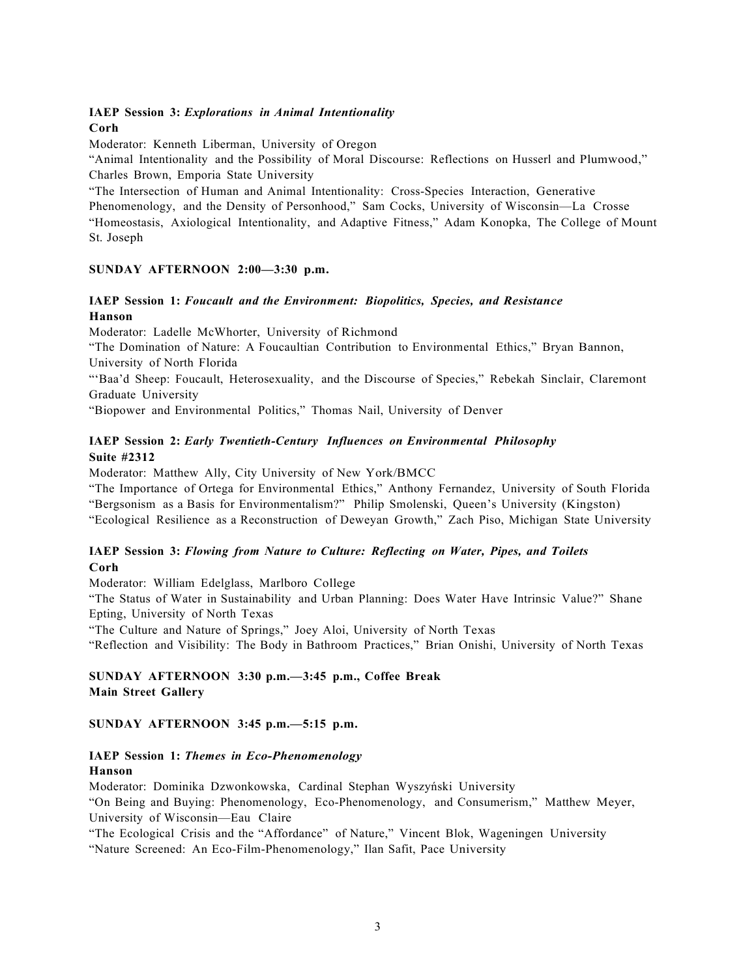### **IAEP Session 3:** *Explorations in Animal Intentionality* **Corh**

Moderator: Kenneth Liberman, University of Oregon

"Animal Intentionality and the Possibility of Moral Discourse: Reflections on Husserl and Plumwood," Charles Brown, Emporia State University

"The Intersection of Human and Animal Intentionality: Cross-Species Interaction, Generative Phenomenology, and the Density of Personhood," Sam Cocks, University of Wisconsin—La Crosse "Homeostasis, Axiological Intentionality, and Adaptive Fitness," Adam Konopka, The College of Mount St. Joseph

#### **SUNDAY AFTERNOON 2:00—3:30 p.m.**

### **IAEP Session 1:** *Foucault and the Environment: Biopolitics, Species, and Resistance* **Hanson**

Moderator: Ladelle McWhorter, University of Richmond

"The Domination of Nature: A Foucaultian Contribution to Environmental Ethics," Bryan Bannon, University of North Florida

"'Baa'd Sheep: Foucault, Heterosexuality, and the Discourse of Species," Rebekah Sinclair, Claremont Graduate University

"Biopower and Environmental Politics," Thomas Nail, University of Denver

### **IAEP Session 2:** *Early Twentieth-Century Influences on Environmental Philosophy* **Suite #2312**

Moderator: Matthew Ally, City University of New York/BMCC

"The Importance of Ortega for Environmental Ethics," Anthony Fernandez, University of South Florida "Bergsonism as a Basis for Environmentalism?" Philip Smolenski, Queen's University (Kingston) "Ecological Resilience as a Reconstruction of Deweyan Growth," Zach Piso, Michigan State University

### **IAEP Session 3:** *Flowing from Nature to Culture: Reflecting on Water, Pipes, and Toilets* **Corh**

Moderator: William Edelglass, Marlboro College

"The Status of Water in Sustainability and Urban Planning: Does Water Have Intrinsic Value?" Shane Epting, University of North Texas

"The Culture and Nature of Springs," Joey Aloi, University of North Texas

"Reflection and Visibility: The Body in Bathroom Practices," Brian Onishi, University of North Texas

### **SUNDAY AFTERNOON 3:30 p.m.—3:45 p.m., Coffee Break Main Street Gallery**

### **SUNDAY AFTERNOON 3:45 p.m.—5:15 p.m.**

### **IAEP Session 1:** *Themes in Eco-Phenomenology* **Hanson**

Moderator: Dominika Dzwonkowska, Cardinal Stephan Wyszyński University "On Being and Buying: Phenomenology, Eco-Phenomenology, and Consumerism," Matthew Meyer, University of Wisconsin—Eau Claire

"The Ecological Crisis and the "Affordance" of Nature," Vincent Blok, Wageningen University

"Nature Screened: An Eco-Film-Phenomenology," Ilan Safit, Pace University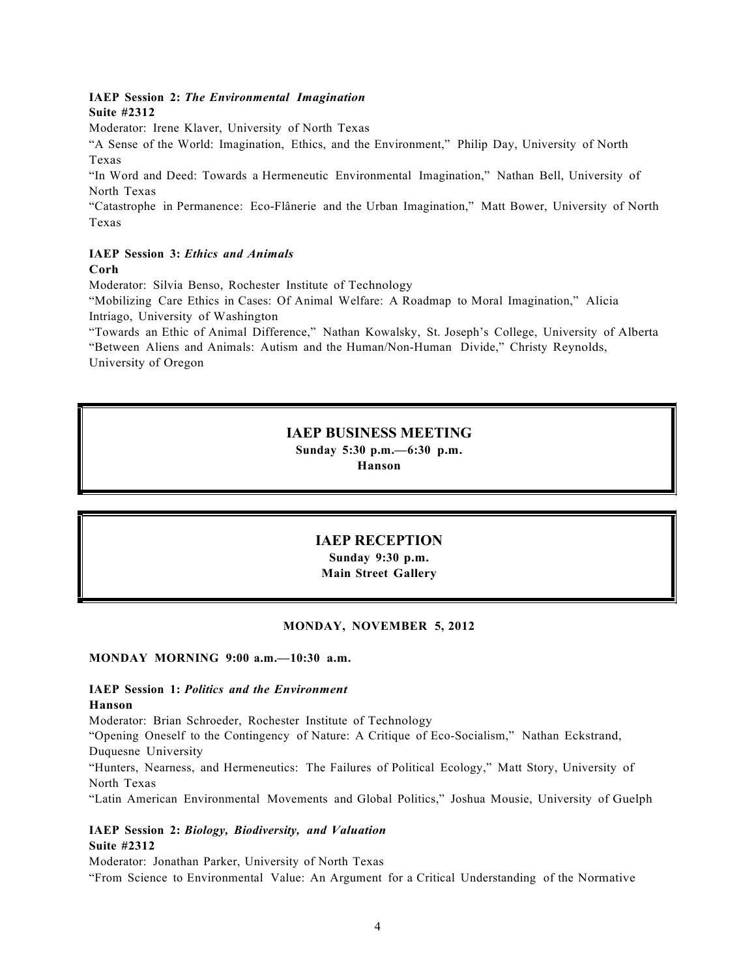### **IAEP Session 2:** *The Environmental Imagination* **Suite #2312**

Moderator: Irene Klaver, University of North Texas

"A Sense of the World: Imagination, Ethics, and the Environment," Philip Day, University of North Texas

"In Word and Deed: Towards a Hermeneutic Environmental Imagination," Nathan Bell, University of North Texas

"Catastrophe in Permanence: Eco-Flânerie and the Urban Imagination," Matt Bower, University of North Texas

#### **IAEP Session 3:** *Ethics and Animals* **Corh**

Moderator: Silvia Benso, Rochester Institute of Technology

"Mobilizing Care Ethics in Cases: Of Animal Welfare: A Roadmap to Moral Imagination," Alicia Intriago, University of Washington

"Towards an Ethic of Animal Difference," Nathan Kowalsky, St. Joseph's College, University of Alberta "Between Aliens and Animals: Autism and the Human/Non-Human Divide," Christy Reynolds, University of Oregon

# **IAEP BUSINESS MEETING**

**Sunday 5:30 p.m.—6:30 p.m.** 

**Hanson**

# **IAEP RECEPTION**

**Sunday 9:30 p.m. Main Street Gallery**

### **MONDAY, NOVEMBER 5, 2012**

### **MONDAY MORNING 9:00 a.m.—10:30 a.m.**

# **IAEP Session 1:** *Politics and the Environment*

### **Hanson**

!

!!!

Moderator: Brian Schroeder, Rochester Institute of Technology

"Opening Oneself to the Contingency of Nature: A Critique of Eco-Socialism," Nathan Eckstrand, Duquesne University

"Hunters, Nearness, and Hermeneutics: The Failures of Political Ecology," Matt Story, University of North Texas

"Latin American Environmental Movements and Global Politics," Joshua Mousie, University of Guelph

**IAEP Session 2:** *Biology, Biodiversity, and Valuation* **Suite #2312**

Moderator: Jonathan Parker, University of North Texas "From Science to Environmental Value: An Argument for a Critical Understanding of the Normative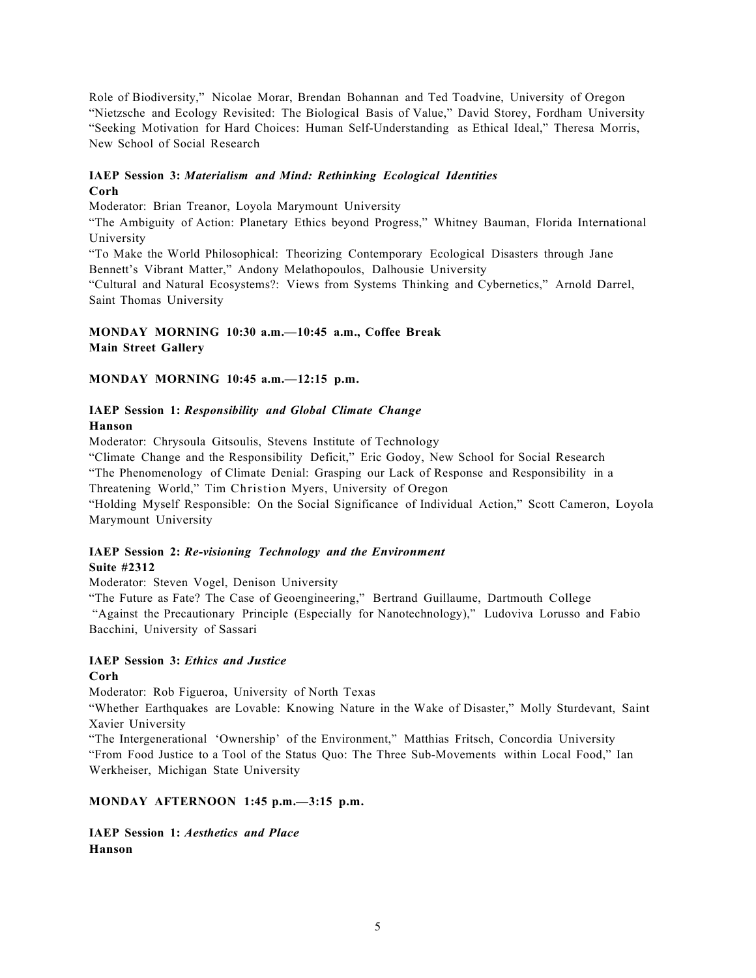Role of Biodiversity," Nicolae Morar, Brendan Bohannan and Ted Toadvine, University of Oregon "Nietzsche and Ecology Revisited: The Biological Basis of Value," David Storey, Fordham University "Seeking Motivation for Hard Choices: Human Self-Understanding as Ethical Ideal," Theresa Morris, New School of Social Research

### **IAEP Session 3:** *Materialism and Mind: Rethinking Ecological Identities* **Corh**

Moderator: Brian Treanor, Loyola Marymount University

"The Ambiguity of Action: Planetary Ethics beyond Progress," Whitney Bauman, Florida International University

"To Make the World Philosophical: Theorizing Contemporary Ecological Disasters through Jane Bennett's Vibrant Matter," Andony Melathopoulos, Dalhousie University

"Cultural and Natural Ecosystems?: Views from Systems Thinking and Cybernetics," Arnold Darrel, Saint Thomas University

### **MONDAY MORNING 10:30 a.m.—10:45 a.m., Coffee Break Main Street Gallery**

### **MONDAY MORNING 10:45 a.m.—12:15 p.m.**

### **IAEP Session 1:** *Responsibility and Global Climate Change* **Hanson**

Moderator: Chrysoula Gitsoulis, Stevens Institute of Technology "Climate Change and the Responsibility Deficit," Eric Godoy, New School for Social Research "The Phenomenology of Climate Denial: Grasping our Lack of Response and Responsibility in a Threatening World," Tim Christion Myers, University of Oregon "Holding Myself Responsible: On the Social Significance of Individual Action," Scott Cameron, Loyola Marymount University

### **IAEP Session 2:** *Re-visioning Technology and the Environment* **Suite #2312**

Moderator: Steven Vogel, Denison University

"The Future as Fate? The Case of Geoengineering," Bertrand Guillaume, Dartmouth College "Against the Precautionary Principle (Especially for Nanotechnology)," Ludoviva Lorusso and Fabio Bacchini, University of Sassari

### **IAEP Session 3:** *Ethics and Justice* **Corh**

Moderator: Rob Figueroa, University of North Texas

"Whether Earthquakes are Lovable: Knowing Nature in the Wake of Disaster," Molly Sturdevant, Saint Xavier University

"The Intergenerational 'Ownership' of the Environment," Matthias Fritsch, Concordia University "From Food Justice to a Tool of the Status Quo: The Three Sub-Movements within Local Food," Ian Werkheiser, Michigan State University

# **MONDAY AFTERNOON 1:45 p.m.—3:15 p.m.**

**IAEP Session 1:** *Aesthetics and Place* **Hanson**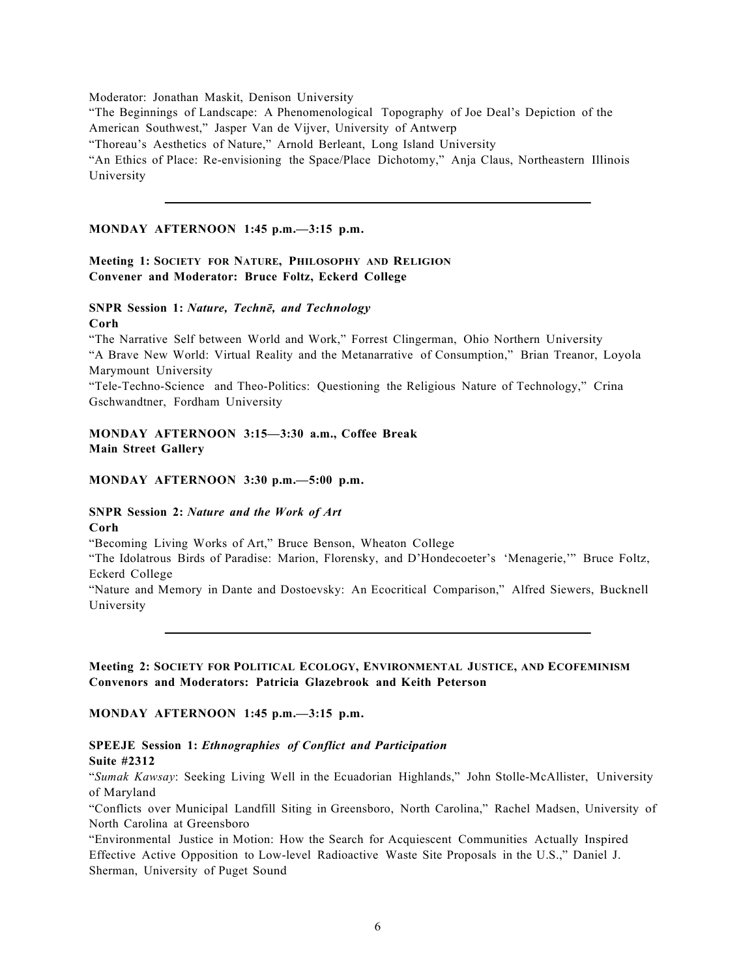Moderator: Jonathan Maskit, Denison University

"The Beginnings of Landscape: A Phenomenological Topography of Joe Deal's Depiction of the American Southwest," Jasper Van de Vijver, University of Antwerp "Thoreau's Aesthetics of Nature," Arnold Berleant, Long Island University "An Ethics of Place: Re-envisioning the Space/Place Dichotomy," Anja Claus, Northeastern Illinois

University

#### **MONDAY AFTERNOON 1:45 p.m.—3:15 p.m.**

### **Meeting 1: SOCIETY FOR NATURE, PHILOSOPHY AND RELIGION Convener and Moderator: Bruce Foltz, Eckerd College**

### **SNPR Session 1:** *Nature, Technē, and Technology*

**Corh**

"The Narrative Self between World and Work," Forrest Clingerman, Ohio Northern University "A Brave New World: Virtual Reality and the Metanarrative of Consumption," Brian Treanor, Loyola Marymount University

"Tele-Techno-Science and Theo-Politics: Questioning the Religious Nature of Technology," Crina Gschwandtner, Fordham University

### **MONDAY AFTERNOON 3:15—3:30 a.m., Coffee Break Main Street Gallery**

#### **MONDAY AFTERNOON 3:30 p.m.—5:00 p.m.**

#### **SNPR Session 2:** *Nature and the Work of Art* **Corh**

"Becoming Living Works of Art," Bruce Benson, Wheaton College

"The Idolatrous Birds of Paradise: Marion, Florensky, and D'Hondecoeter's 'Menagerie,'" Bruce Foltz, Eckerd College

"Nature and Memory in Dante and Dostoevsky: An Ecocritical Comparison," Alfred Siewers, Bucknell University

### **Meeting 2: SOCIETY FOR POLITICAL ECOLOGY, ENVIRONMENTAL JUSTICE, AND ECOFEMINISM Convenors and Moderators: Patricia Glazebrook and Keith Peterson**

### **MONDAY AFTERNOON 1:45 p.m.—3:15 p.m.**

#### **SPEEJE Session 1:** *Ethnographies of Conflict and Participation* **Suite #2312**

"*Sumak Kawsay*: Seeking Living Well in the Ecuadorian Highlands," John Stolle-McAllister, University of Maryland

"Conflicts over Municipal Landfill Siting in Greensboro, North Carolina," Rachel Madsen, University of North Carolina at Greensboro

"Environmental Justice in Motion: How the Search for Acquiescent Communities Actually Inspired Effective Active Opposition to Low-level Radioactive Waste Site Proposals in the U.S.," Daniel J. Sherman, University of Puget Sound